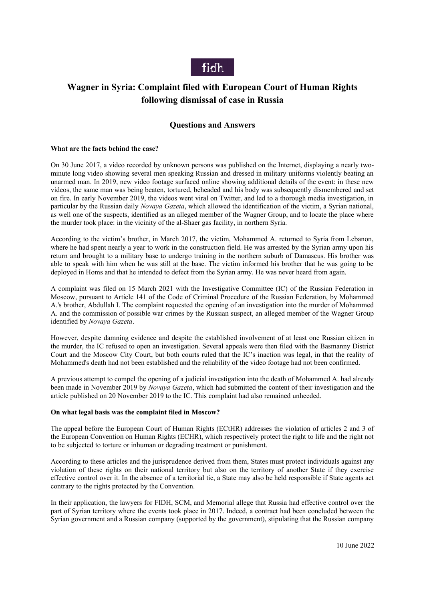

# **Wagner in Syria: Complaint filed with European Court of Human Rights following dismissal of case in Russia**

## **Questions and Answers**

#### **What are the facts behind the case?**

On 30 June 2017, a video recorded by unknown persons was published on the Internet, displaying a nearly twominute long video showing several men speaking Russian and dressed in military uniforms violently beating an unarmed man. In 2019, new video footage surfaced online showing additional details of the event: in these new videos, the same man was being beaten, tortured, beheaded and his body was subsequently dismembered and set on fire. In early November 2019, the videos went viral on Twitter, and led to a thorough media investigation, in particular by the Russian daily *Novaya Gazeta*, which allowed the identification of the victim, a Syrian national, as well one of the suspects, identified as an alleged member of the Wagner Group, and to locate the place where the murder took place: in the vicinity of the al-Shaer gas facility, in northern Syria.

According to the victim's brother, in March 2017, the victim, Mohammed A. returned to Syria from Lebanon, where he had spent nearly a year to work in the construction field. He was arrested by the Syrian army upon his return and brought to a military base to undergo training in the northern suburb of Damascus. His brother was able to speak with him when he was still at the base. The victim informed his brother that he was going to be deployed in Homs and that he intended to defect from the Syrian army. He was never heard from again.

A complaint was filed on 15 March 2021 with the Investigative Committee (IC) of the Russian Federation in Moscow, pursuant to Article 141 of the Code of Criminal Procedure of the Russian Federation, by Mohammed A.'s brother, Abdullah I. The complaint requested the opening of an investigation into the murder of Mohammed A. and the commission of possible war crimes by the Russian suspect, an alleged member of the Wagner Group identified by *Novaya Gazeta*.

However, despite damning evidence and despite the established involvement of at least one Russian citizen in the murder, the IC refused to open an investigation. Several appeals were then filed with the Basmanny District Court and the Moscow City Court, but both courts ruled that the IC's inaction was legal, in that the reality of Mohammed's death had not been established and the reliability of the video footage had not been confirmed.

A previous attempt to compel the opening of a judicial investigation into the death of Mohammed A. had already been made in November 2019 by *Novaya Gazeta*, which had submitted the content of their investigation and the article published on 20 November 2019 to the IC. This complaint had also remained unheeded.

#### **On what legal basis was the complaint filed in Moscow?**

The appeal before the European Court of Human Rights (ECtHR) addresses the violation of articles 2 and 3 of the European Convention on Human Rights (ECHR), which respectively protect the right to life and the right not to be subjected to torture or inhuman or degrading treatment or punishment.

According to these articles and the jurisprudence derived from them, States must protect individuals against any violation of these rights on their national territory but also on the territory of another State if they exercise effective control over it. In the absence of a territorial tie, a State may also be held responsible if State agents act contrary to the rights protected by the Convention.

In their application, the lawyers for FIDH, SCM, and Memorial allege that Russia had effective control over the part of Syrian territory where the events took place in 2017. Indeed, a contract had been concluded between the Syrian government and a Russian company (supported by the government), stipulating that the Russian company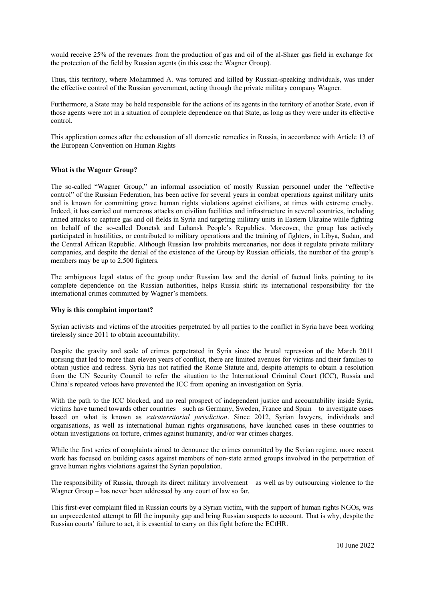would receive 25% of the revenues from the production of gas and oil of the al-Shaer gas field in exchange for the protection of the field by Russian agents (in this case the Wagner Group).

Thus, this territory, where Mohammed A. was tortured and killed by Russian-speaking individuals, was under the effective control of the Russian government, acting through the private military company Wagner.

Furthermore, a State may be held responsible for the actions of its agents in the territory of another State, even if those agents were not in a situation of complete dependence on that State, as long as they were under its effective control.

This application comes after the exhaustion of all domestic remedies in Russia, in accordance with Article 13 of the European Convention on Human Rights

#### **What is the Wagner Group?**

The so-called "Wagner Group," an informal association of mostly Russian personnel under the "effective control" of the Russian Federation, has been active for several years in combat operations against military units and is known for committing grave human rights violations against civilians, at times with extreme cruelty. Indeed, it has carried out numerous attacks on civilian facilities and infrastructure in several countries, including armed attacks to capture gas and oil fields in Syria and targeting military units in Eastern Ukraine while fighting on behalf of the so-called Donetsk and Luhansk People's Republics. Moreover, the group has actively participated in hostilities, or contributed to military operations and the training of fighters, in Libya, Sudan, and the Central African Republic. Although Russian law prohibits mercenaries, nor does it regulate private military companies, and despite the denial of the existence of the Group by Russian officials, the number of the group's members may be up to 2,500 fighters.

The ambiguous legal status of the group under Russian law and the denial of factual links pointing to its complete dependence on the Russian authorities, helps Russia shirk its international responsibility for the international crimes committed by Wagner's members.

#### **Why is this complaint important?**

Syrian activists and victims of the atrocities perpetrated by all parties to the conflict in Syria have been working tirelessly since 2011 to obtain accountability.

Despite the gravity and scale of crimes perpetrated in Syria since the brutal repression of the March 2011 uprising that led to more than eleven years of conflict, there are limited avenues for victims and their families to obtain justice and redress. Syria has not ratified the Rome Statute and, despite attempts to obtain a resolution from the UN Security Council to refer the situation to the International Criminal Court (ICC), Russia and China's repeated vetoes have prevented the ICC from opening an investigation on Syria.

With the path to the ICC blocked, and no real prospect of independent justice and accountability inside Syria, victims have turned towards other countries – such as Germany, Sweden, France and Spain – to investigate cases based on what is known as *extraterritorial jurisdiction*. Since 2012, Syrian lawyers, individuals and organisations, as well as international human rights organisations, have launched cases in these countries to obtain investigations on torture, crimes against humanity, and/or war crimes charges.

While the first series of complaints aimed to denounce the crimes committed by the Syrian regime, more recent work has focused on building cases against members of non-state armed groups involved in the perpetration of grave human rights violations against the Syrian population.

The responsibility of Russia, through its direct military involvement – as well as by outsourcing violence to the Wagner Group – has never been addressed by any court of law so far.

This first-ever complaint filed in Russian courts by a Syrian victim, with the support of human rights NGOs, was an unprecedented attempt to fill the impunity gap and bring Russian suspects to account. That is why, despite the Russian courts' failure to act, it is essential to carry on this fight before the ECtHR.